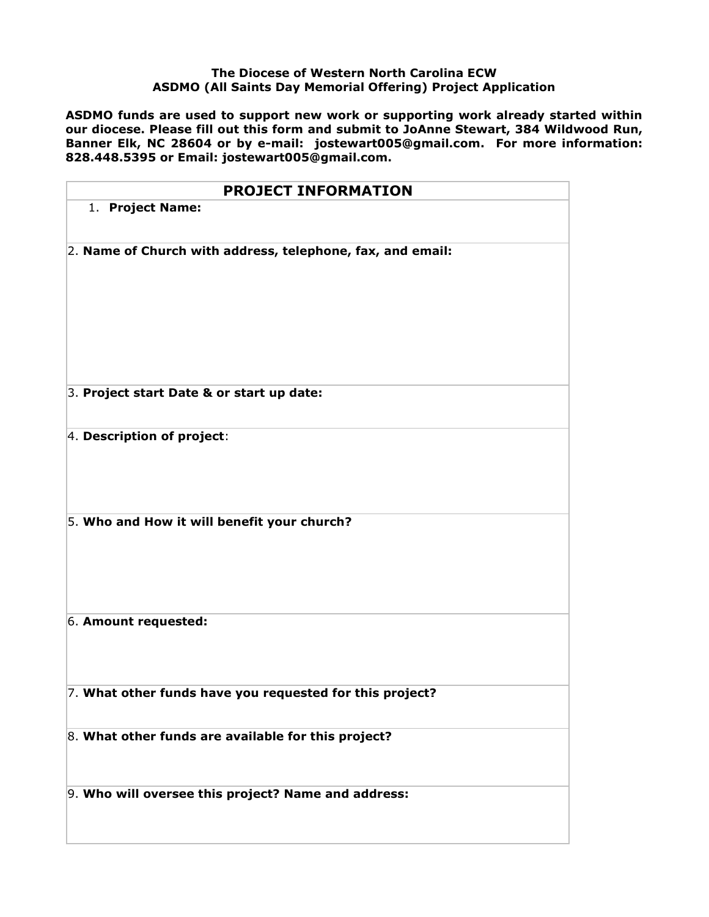## **The Diocese of Western North Carolina ECW ASDMO (All Saints Day Memorial Offering) Project Application**

**ASDMO funds are used to support new work or supporting work already started within our diocese. Please fill out this form and submit to JoAnne Stewart, 384 Wildwood Run, Banner Elk, NC 28604 or by e-mail: jostewart005@gmail.com. For more information: 828.448.5395 or Email: jostewart005@gmail.com.**

| <b>PROJECT INFORMATION</b>                                 |
|------------------------------------------------------------|
| 1. Project Name:                                           |
| 2. Name of Church with address, telephone, fax, and email: |
| 3. Project start Date & or start up date:                  |
| 4. Description of project:                                 |
| 5. Who and How it will benefit your church?                |
| 6. Amount requested:                                       |
| 7. What other funds have you requested for this project?   |
| 8. What other funds are available for this project?        |
| 9. Who will oversee this project? Name and address:        |